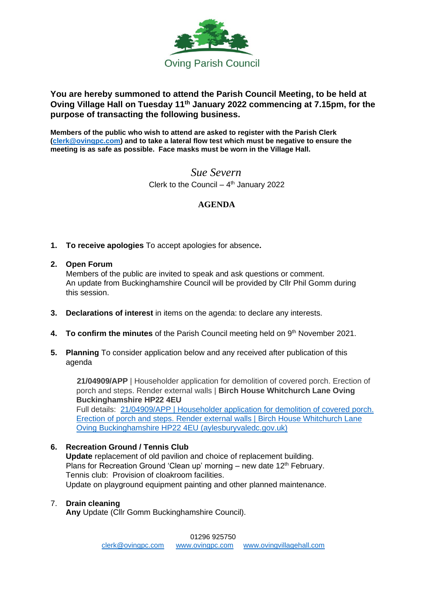

## **You are hereby summoned to attend the Parish Council Meeting, to be held at Oving Village Hall on Tuesday 11 th January 2022 commencing at 7.15pm, for the purpose of transacting the following business.**

**Members of the public who wish to attend are asked to register with the Parish Clerk [\(clerk@ovingpc.com\)](mailto:clerk@ovingpc.com) and to take a lateral flow test which must be negative to ensure the meeting is as safe as possible. Face masks must be worn in the Village Hall.**

> *Sue Severn* Clerk to the Council  $-4<sup>th</sup>$  January 2022

## **AGENDA**

- **1. To receive apologies** To accept apologies for absence**.**
- **2. Open Forum**

Members of the public are invited to speak and ask questions or comment. An update from Buckinghamshire Council will be provided by Cllr Phil Gomm during this session.

- **3. Declarations of interest** in items on the agenda: to declare any interests.
- 4. To confirm the minutes of the Parish Council meeting held on 9<sup>th</sup> November 2021.
- **5. Planning** To consider application below and any received after publication of this agenda

 **21/04909/APP** | Householder application for demolition of covered porch. Erection of porch and steps. Render external walls | **Birch House Whitchurch Lane Oving Buckinghamshire HP22 4EU** Full details: [21/04909/APP | Householder application for demolition of covered porch.](https://publicaccess.aylesburyvaledc.gov.uk/online-applications/applicationDetails.do?activeTab=summary&keyVal=R4NVM4CLKO300&prevPage=inTray)  [Erection of porch and steps. Render external walls | Birch House Whitchurch Lane](https://publicaccess.aylesburyvaledc.gov.uk/online-applications/applicationDetails.do?activeTab=summary&keyVal=R4NVM4CLKO300&prevPage=inTray)  [Oving Buckinghamshire HP22 4EU \(aylesburyvaledc.gov.uk\)](https://publicaccess.aylesburyvaledc.gov.uk/online-applications/applicationDetails.do?activeTab=summary&keyVal=R4NVM4CLKO300&prevPage=inTray)

## **6. Recreation Ground / Tennis Club**

**Update** replacement of old pavilion and choice of replacement building. Plans for Recreation Ground 'Clean up' morning – new date  $12<sup>th</sup>$  February. Tennis club: Provision of cloakroom facilities. Update on playground equipment painting and other planned maintenance.

#### 7. **Drain cleaning**

 **Any** Update (Cllr Gomm Buckinghamshire Council).